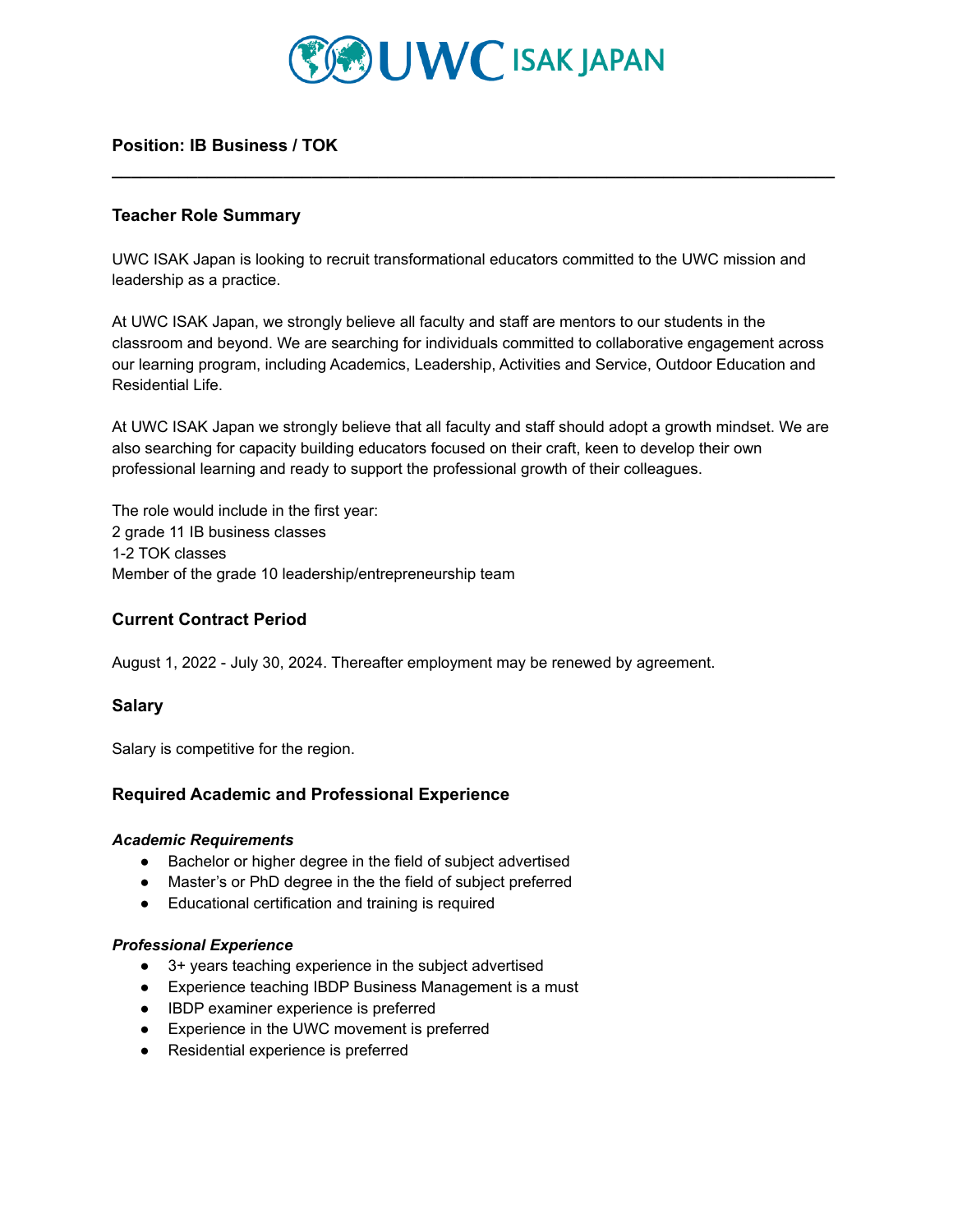

**\_\_\_\_\_\_\_\_\_\_\_\_\_\_\_\_\_\_\_\_\_\_\_\_\_\_\_\_\_\_\_\_\_\_\_\_\_\_\_\_\_\_\_\_\_\_\_\_\_\_\_\_\_\_\_\_\_\_\_\_\_\_\_\_\_\_\_\_\_\_\_\_\_\_\_\_**

# **Position: IB Business / TOK**

# **Teacher Role Summary**

UWC ISAK Japan is looking to recruit transformational educators committed to the UWC mission and leadership as a practice.

At UWC ISAK Japan, we strongly believe all faculty and staff are mentors to our students in the classroom and beyond. We are searching for individuals committed to collaborative engagement across our learning program, including Academics, Leadership, Activities and Service, Outdoor Education and Residential Life.

At UWC ISAK Japan we strongly believe that all faculty and staff should adopt a growth mindset. We are also searching for capacity building educators focused on their craft, keen to develop their own professional learning and ready to support the professional growth of their colleagues.

The role would include in the first year: 2 grade 11 IB business classes 1-2 TOK classes Member of the grade 10 leadership/entrepreneurship team

# **Current Contract Period**

August 1, 2022 - July 30, 2024. Thereafter employment may be renewed by agreement.

## **Salary**

Salary is competitive for the region.

## **Required Academic and Professional Experience**

#### *Academic Requirements*

- Bachelor or higher degree in the field of subject advertised
- Master's or PhD degree in the the field of subject preferred
- Educational certification and training is required

### *Professional Experience*

- 3+ years teaching experience in the subject advertised
- Experience teaching IBDP Business Management is a must
- IBDP examiner experience is preferred
- Experience in the UWC movement is preferred
- Residential experience is preferred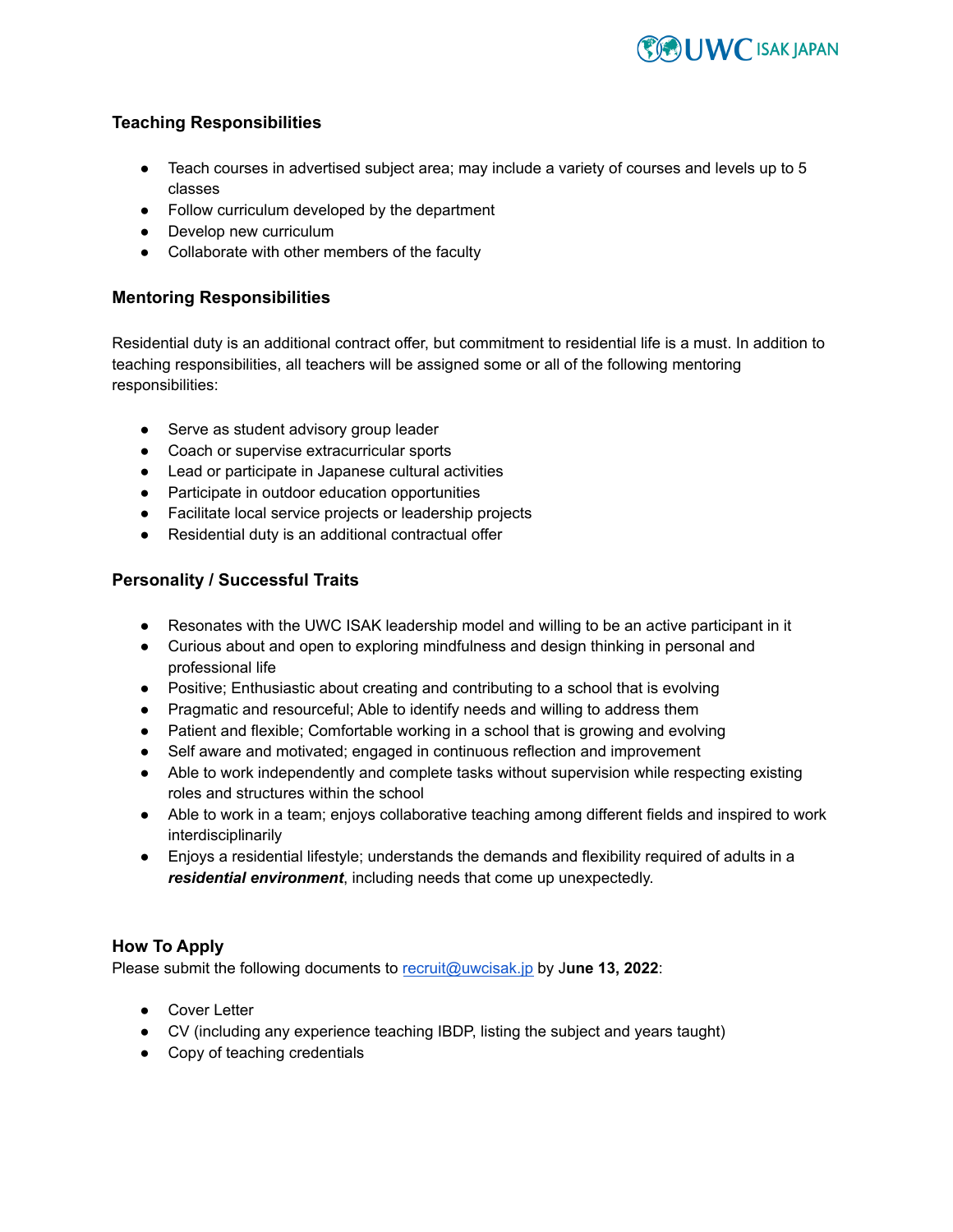

# **Teaching Responsibilities**

- Teach courses in advertised subject area; may include a variety of courses and levels up to 5 classes
- Follow curriculum developed by the department
- Develop new curriculum
- Collaborate with other members of the faculty

# **Mentoring Responsibilities**

Residential duty is an additional contract offer, but commitment to residential life is a must. In addition to teaching responsibilities, all teachers will be assigned some or all of the following mentoring responsibilities:

- Serve as student advisory group leader
- Coach or supervise extracurricular sports
- Lead or participate in Japanese cultural activities
- Participate in outdoor education opportunities
- Facilitate local service projects or leadership projects
- Residential duty is an additional contractual offer

# **Personality / Successful Traits**

- Resonates with the UWC ISAK leadership model and willing to be an active participant in it
- Curious about and open to exploring mindfulness and design thinking in personal and professional life
- Positive; Enthusiastic about creating and contributing to a school that is evolving
- Pragmatic and resourceful; Able to identify needs and willing to address them
- Patient and flexible; Comfortable working in a school that is growing and evolving
- Self aware and motivated; engaged in continuous reflection and improvement
- Able to work independently and complete tasks without supervision while respecting existing roles and structures within the school
- Able to work in a team; enjoys collaborative teaching among different fields and inspired to work interdisciplinarily
- Enjoys a residential lifestyle; understands the demands and flexibility required of adults in a *residential environment*, including needs that come up unexpectedly.

# **How To Apply**

Please submit the following documents to [recruit@uwcisak.jp](mailto:recruit@uwcisak.jp) by J**une 13, 2022**:

- Cover Letter
- CV (including any experience teaching IBDP, listing the subject and years taught)
- Copy of teaching credentials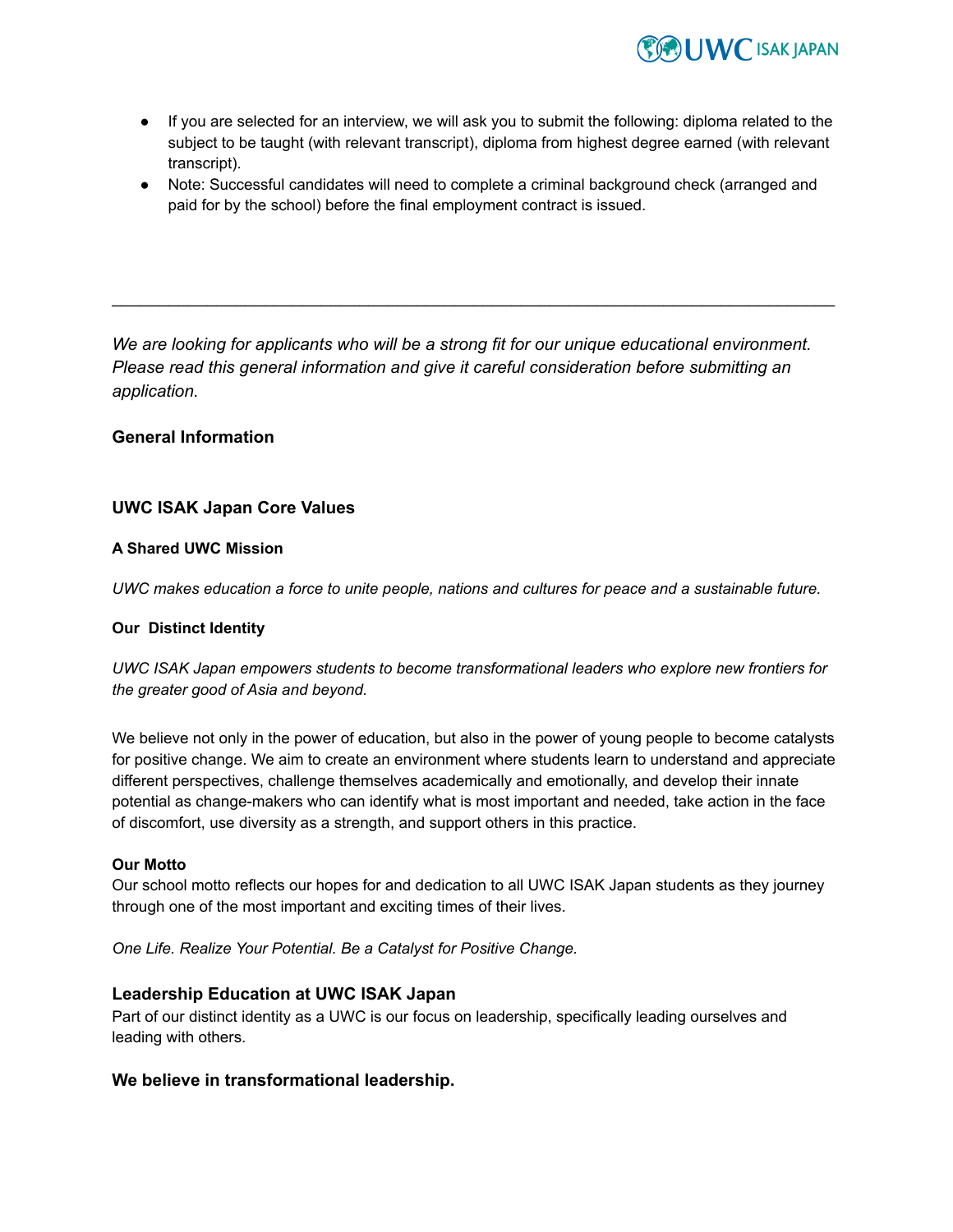

- If you are selected for an interview, we will ask you to submit the following: diploma related to the subject to be taught (with relevant transcript), diploma from highest degree earned (with relevant transcript).
- Note: Successful candidates will need to complete a criminal background check (arranged and paid for by the school) before the final employment contract is issued.

*We are looking for applicants who will be a strong fit for our unique educational environment. Please read this general information and give it careful consideration before submitting an application.*

\_\_\_\_\_\_\_\_\_\_\_\_\_\_\_\_\_\_\_\_\_\_\_\_\_\_\_\_\_\_\_\_\_\_\_\_\_\_\_\_\_\_\_\_\_\_\_\_\_\_\_\_\_\_\_\_\_\_\_\_\_\_\_\_\_\_\_\_\_\_\_\_\_\_\_\_

## **General Information**

## **UWC ISAK Japan Core Values**

### **A Shared UWC Mission**

*UWC makes education a force to unite people, nations and cultures for peace and a sustainable future.*

#### **Our Distinct Identity**

*UWC ISAK Japan empowers students to become transformational leaders who explore new frontiers for the greater good of Asia and beyond.*

We believe not only in the power of education, but also in the power of young people to become catalysts for positive change. We aim to create an environment where students learn to understand and appreciate different perspectives, challenge themselves academically and emotionally, and develop their innate potential as change-makers who can identify what is most important and needed, take action in the face of discomfort, use diversity as a strength, and support others in this practice.

#### **Our Motto**

Our school motto reflects our hopes for and dedication to all UWC ISAK Japan students as they journey through one of the most important and exciting times of their lives.

*One Life. Realize Your Potential. Be a Catalyst for Positive Change.*

## **Leadership Education at UWC ISAK Japan**

Part of our distinct identity as a UWC is our focus on leadership, specifically leading ourselves and leading with others.

#### **We believe in transformational leadership.**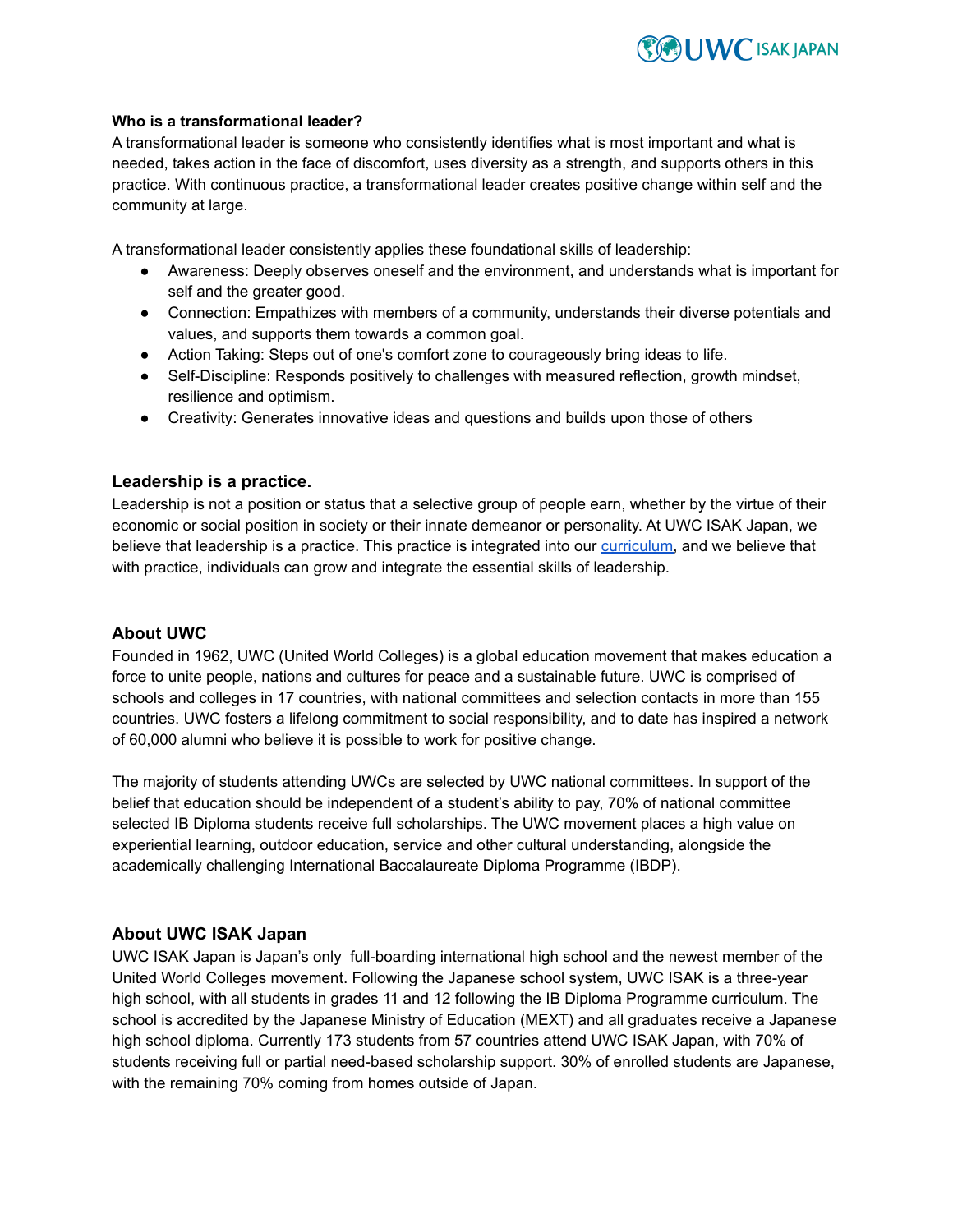

### **Who is a transformational leader?**

A [transformational](http://www.japan-guide.com/e/e6030.html) leader is someone who consistently identifies what is most important and what is needed, takes action in the face of [discomfort,](http://www.japan-guide.com/e/e6030.html) uses diversity as a strength, and supports others in this practice. With continuous practice, a [transformational](http://www.japan-guide.com/e/e6030.html) leader creates positive change within self and the [community](http://www.japan-guide.com/e/e6030.html) at large.

A transformational leader consistently applies these foundational skills of leadership:

- Awareness: Deeply observes oneself and the environment, and understands what is important for self and the greater good.
- Connection: Empathizes with members of a community, understands their diverse potentials and values, and supports them towards a common goal.
- Action Taking: Steps out of one's comfort zone to courageously bring ideas to life.
- Self-Discipline: Responds positively to challenges with measured reflection, growth mindset, resilience and optimism.
- Creativity: Generates innovative ideas and questions and builds upon those of others

#### **Leadership is a practice[.](https://uwcisak.jp/education/leadership/)**

Leadership is not a position or status that a selective group of people earn, whether by the virtue of their economic or social position in society or their innate demeanor or personality. At UWC ISAK Japan, we believe that leadership is a practice. This practice is integrated into our [curriculum,](https://uwcisak.jp/education/leadership/) and we believe that with practice, individuals can grow and integrate the essential skills of leadership.

### **About UWC**

Founded in 1962, UWC (United World Colleges) is a global education movement that makes education a force to unite people, nations and cultures for peace and a sustainable future. UWC is comprised of schools and colleges in 17 countries, with national committees and selection contacts in more than 155 countries. UWC fosters a lifelong commitment to social responsibility, and to date has inspired a network of 60,000 alumni who believe it is possible to work for positive change.

The majority of students attending UWCs are selected by UWC national committees. In support of the belief that education should be independent of a student's ability to pay, 70% of national committee selected IB Diploma students receive full scholarships. The UWC movement places a high value on experiential learning, outdoor education, service and other cultural understanding, alongside the academically challenging International Baccalaureate Diploma Programme (IBDP).

### **About UWC ISAK Japan**

UWC ISAK Japan is Japan's only full-boarding international high school and the newest member of the United World Colleges movement. Following the Japanese school system, UWC ISAK is a three-year high school, with all students in grades 11 and 12 following the IB Diploma Programme curriculum. The school is accredited by the Japanese Ministry of Education (MEXT) and all graduates receive a Japanese high school diploma. Currently 173 students from 57 countries attend UWC ISAK Japan, with 70% of students receiving full or partial need-based scholarship support. 30% of enrolled students are Japanese, with the remaining 70% coming from homes outside of Japan.